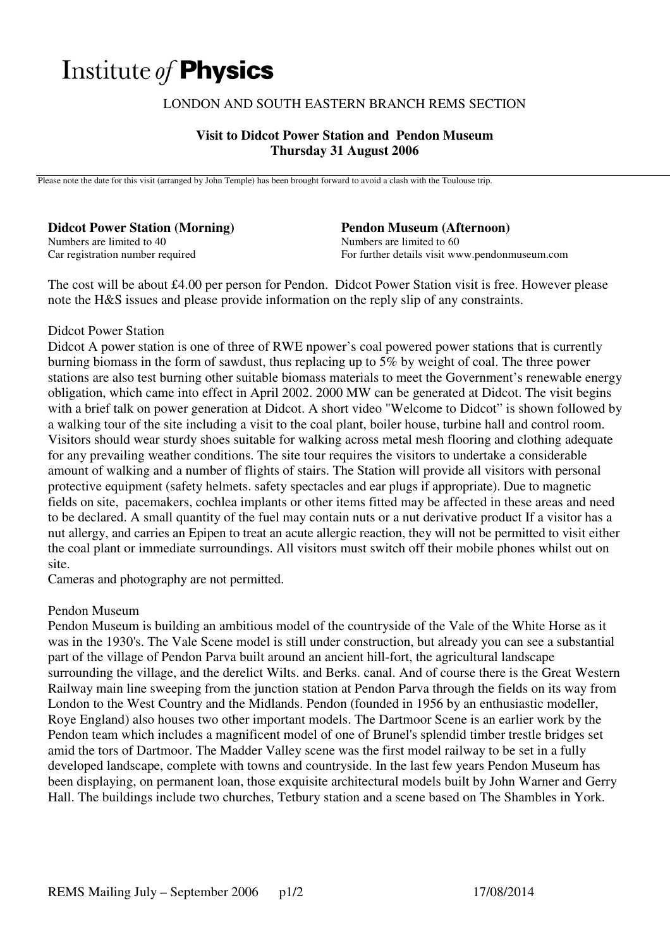# Institute of **Physics**

# LONDON AND SOUTH EASTERN BRANCH REMS SECTION

# **Visit to Didcot Power Station and Pendon Museum Thursday 31 August 2006**

Please note the date for this visit (arranged by John Temple) has been brought forward to avoid a clash with the Toulouse trip.

**Didcot Power Station (Morning)**  Numbers are limited to 40 Car registration number required

#### **Pendon Museum (Afternoon)**  Numbers are limited to 60 For further details visit www.pendonmuseum.com

The cost will be about £4.00 per person for Pendon. Didcot Power Station visit is free. However please note the H&S issues and please provide information on the reply slip of any constraints.

### Didcot Power Station

Didcot A power station is one of three of RWE npower's coal powered power stations that is currently burning biomass in the form of sawdust, thus replacing up to 5% by weight of coal. The three power stations are also test burning other suitable biomass materials to meet the Government's renewable energy obligation, which came into effect in April 2002. 2000 MW can be generated at Didcot. The visit begins with a brief talk on power generation at Didcot. A short video "Welcome to Didcot" is shown followed by a walking tour of the site including a visit to the coal plant, boiler house, turbine hall and control room. Visitors should wear sturdy shoes suitable for walking across metal mesh flooring and clothing adequate for any prevailing weather conditions. The site tour requires the visitors to undertake a considerable amount of walking and a number of flights of stairs. The Station will provide all visitors with personal protective equipment (safety helmets. safety spectacles and ear plugs if appropriate). Due to magnetic fields on site, pacemakers, cochlea implants or other items fitted may be affected in these areas and need to be declared. A small quantity of the fuel may contain nuts or a nut derivative product If a visitor has a nut allergy, and carries an Epipen to treat an acute allergic reaction, they will not be permitted to visit either the coal plant or immediate surroundings. All visitors must switch off their mobile phones whilst out on site.

Cameras and photography are not permitted.

# Pendon Museum

Pendon Museum is building an ambitious model of the countryside of the Vale of the White Horse as it was in the 1930's. The Vale Scene model is still under construction, but already you can see a substantial part of the village of Pendon Parva built around an ancient hill-fort, the agricultural landscape surrounding the village, and the derelict Wilts. and Berks. canal. And of course there is the Great Western Railway main line sweeping from the junction station at Pendon Parva through the fields on its way from London to the West Country and the Midlands. Pendon (founded in 1956 by an enthusiastic modeller, Roye England) also houses two other important models. The Dartmoor Scene is an earlier work by the Pendon team which includes a magnificent model of one of Brunel's splendid timber trestle bridges set amid the tors of Dartmoor. The Madder Valley scene was the first model railway to be set in a fully developed landscape, complete with towns and countryside. In the last few years Pendon Museum has been displaying, on permanent loan, those exquisite architectural models built by John Warner and Gerry Hall. The buildings include two churches, Tetbury station and a scene based on The Shambles in York.